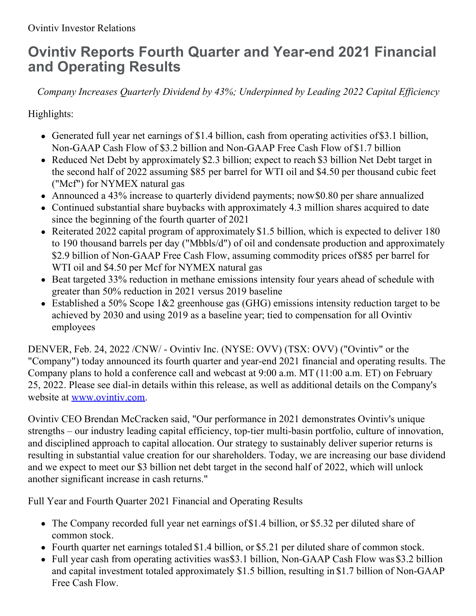# **Ovintiv Reports Fourth Quarter and Year-end 2021 Financial and Operating Results**

*Company Increases Quarterly Dividend by 43%; Underpinned by Leading 2022 Capital Ef iciency*

Highlights:

- Generated full year net earnings of \$1.4 billion, cash from operating activities of\$3.1 billion, Non-GAAP Cash Flow of \$3.2 billion and Non-GAAP Free Cash Flow of \$1.7 billion
- Reduced Net Debt by approximately \$2.3 billion; expect to reach \$3 billion Net Debt target in the second half of 2022 assuming \$85 per barrel for WTI oil and \$4.50 per thousand cubic feet ("Mcf") for NYMEX natural gas
- Announced a 43% increase to quarterly dividend payments; now\$0.80 per share annualized
- Continued substantial share buybacks with approximately 4.3 million shares acquired to date since the beginning of the fourth quarter of 2021
- Reiterated 2022 capital program of approximately \$1.5 billion, which is expected to deliver 180 to 190 thousand barrels per day ("Mbbls/d") of oil and condensate production and approximately \$2.9 billion of Non-GAAP Free Cash Flow, assuming commodity prices of\$85 per barrel for WTI oil and \$4.50 per Mcf for NYMEX natural gas
- Beat targeted 33% reduction in methane emissions intensity four years ahead of schedule with greater than 50% reduction in 2021 versus 2019 baseline
- Established a 50% Scope 1&2 greenhouse gas (GHG) emissions intensity reduction target to be achieved by 2030 and using 2019 as a baseline year; tied to compensation for all Ovintiv employees

DENVER, Feb. 24, 2022 /CNW/ - Ovintiv Inc. (NYSE: OVV) (TSX: OVV) ("Ovintiv" or the "Company") today announced its fourth quarter and year-end 2021 financial and operating results. The Company plans to hold a conference call and webcast at 9:00 a.m. MT (11:00 a.m. ET) on February 25, 2022. Please see dial-in details within this release, as well as additional details on the Company's website at [www.ovintiv.com](https://c212.net/c/link/?t=0&l=en&o=3454585-1&h=4251809589&u=http%3A%2F%2Fwww.ovintiv.com%2F&a=www.ovintiv.com).

Ovintiv CEO Brendan McCracken said, "Our performance in 2021 demonstrates Ovintiv's unique strengths – our industry leading capital efficiency, top-tier multi-basin portfolio, culture of innovation, and disciplined approach to capital allocation. Our strategy to sustainably deliver superior returns is resulting in substantial value creation for our shareholders. Today, we are increasing our base dividend and we expect to meet our \$3 billion net debt target in the second half of 2022, which will unlock another significant increase in cash returns."

Full Year and Fourth Quarter 2021 Financial and Operating Results

- The Company recorded full year net earnings of \$1.4 billion, or \$5.32 per diluted share of common stock.
- Fourth quarter net earnings totaled \$1.4 billion, or \$5.21 per diluted share of common stock.
- Full year cash from operating activities was \$3.1 billion, Non-GAAP Cash Flow was \$3.2 billion and capital investment totaled approximately \$1.5 billion, resulting in \$1.7 billion of Non-GAAP Free Cash Flow.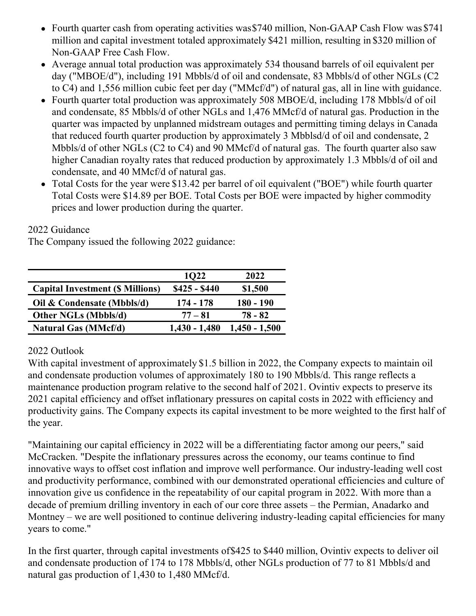- Fourth quarter cash from operating activities was \$740 million, Non-GAAP Cash Flow was \$741 million and capital investment totaled approximately \$421 million, resulting in \$320 million of Non-GAAP Free Cash Flow.
- Average annual total production was approximately 534 thousand barrels of oil equivalent per day ("MBOE/d"), including 191 Mbbls/d of oil and condensate, 83 Mbbls/d of other NGLs (C2 to C4) and 1,556 million cubic feet per day ("MMcf/d") of natural gas, all in line with guidance.
- Fourth quarter total production was approximately 508 MBOE/d, including 178 Mbbls/d of oil and condensate, 85 Mbbls/d of other NGLs and 1,476 MMcf/d of natural gas. Production in the quarter was impacted by unplanned midstream outages and permitting timing delays in Canada that reduced fourth quarter production by approximately 3 Mbblsd/d of oil and condensate, 2 Mbbls/d of other NGLs (C2 to C4) and 90 MMcf/d of natural gas. The fourth quarter also saw higher Canadian royalty rates that reduced production by approximately 1.3 Mbbls/d of oil and condensate, and 40 MMcf/d of natural gas.
- Total Costs for the year were \$13.42 per barrel of oil equivalent ("BOE") while fourth quarter Total Costs were \$14.89 per BOE. Total Costs per BOE were impacted by higher commodity prices and lower production during the quarter.

2022 Guidance

The Company issued the following 2022 guidance:

|                                         | <b>1022</b>     | 2022            |
|-----------------------------------------|-----------------|-----------------|
| <b>Capital Investment (\$ Millions)</b> | $$425 - $440$   | \$1,500         |
| Oil & Condensate (Mbbls/d)              | 174 - 178       | 180 - 190       |
| <b>Other NGLs (Mbbls/d)</b>             | $77 - 81$       | 78 - 82         |
| <b>Natural Gas (MMcf/d)</b>             | $1,430 - 1,480$ | $1,450 - 1,500$ |

### 2022 Outlook

With capital investment of approximately \$1.5 billion in 2022, the Company expects to maintain oil and condensate production volumes of approximately 180 to 190 Mbbls/d. This range reflects a maintenance production program relative to the second half of 2021. Ovintiv expects to preserve its 2021 capital efficiency and offset inflationary pressures on capital costs in 2022 with efficiency and productivity gains. The Company expects its capital investment to be more weighted to the first half of the year.

"Maintaining our capital efficiency in 2022 will be a differentiating factor among our peers," said McCracken. "Despite the inflationary pressures across the economy, our teams continue to find innovative ways to offset cost inflation and improve well performance. Our industry-leading well cost and productivity performance, combined with our demonstrated operational efficiencies and culture of innovation give us confidence in the repeatability of our capital program in 2022. With more than a decade of premium drilling inventory in each of our core three assets – the Permian, Anadarko and Montney – we are well positioned to continue delivering industry-leading capital efficiencies for many years to come."

In the first quarter, through capital investments of\$425 to \$440 million, Ovintiv expects to deliver oil and condensate production of 174 to 178 Mbbls/d, other NGLs production of 77 to 81 Mbbls/d and natural gas production of 1,430 to 1,480 MMcf/d.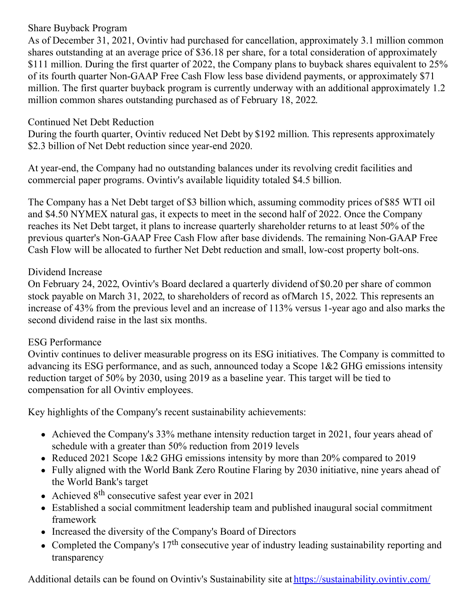### Share Buyback Program

As of December 31, 2021, Ovintiv had purchased for cancellation, approximately 3.1 million common shares outstanding at an average price of \$36.18 per share, for a total consideration of approximately \$111 million. During the first quarter of 2022, the Company plans to buyback shares equivalent to 25% of its fourth quarter Non-GAAP Free Cash Flow less base dividend payments, or approximately \$71 million. The first quarter buyback program is currently underway with an additional approximately 1.2 million common shares outstanding purchased as of February 18, 2022.

#### Continued Net Debt Reduction

During the fourth quarter, Ovintiv reduced Net Debt by \$192 million. This represents approximately \$2.3 billion of Net Debt reduction since year-end 2020.

At year-end, the Company had no outstanding balances under its revolving credit facilities and commercial paper programs. Ovintiv's available liquidity totaled \$4.5 billion.

The Company has a Net Debt target of \$3 billion which, assuming commodity prices of \$85 WTI oil and \$4.50 NYMEX natural gas, it expects to meet in the second half of 2022. Once the Company reaches its Net Debt target, it plans to increase quarterly shareholder returns to at least 50% of the previous quarter's Non-GAAP Free Cash Flow after base dividends. The remaining Non-GAAP Free Cash Flow will be allocated to further Net Debt reduction and small, low-cost property bolt-ons.

#### Dividend Increase

On February 24, 2022, Ovintiv's Board declared a quarterly dividend of \$0.20 per share of common stock payable on March 31, 2022, to shareholders of record as ofMarch 15, 2022. This represents an increase of 43% from the previous level and an increase of 113% versus 1-year ago and also marks the second dividend raise in the last six months.

### ESG Performance

Ovintiv continues to deliver measurable progress on its ESG initiatives. The Company is committed to advancing its ESG performance, and as such, announced today a Scope 1&2 GHG emissions intensity reduction target of 50% by 2030, using 2019 as a baseline year. This target will be tied to compensation for all Ovintiv employees.

Key highlights of the Company's recent sustainability achievements:

- Achieved the Company's 33% methane intensity reduction target in 2021, four years ahead of schedule with a greater than 50% reduction from 2019 levels
- Reduced 2021 Scope 1&2 GHG emissions intensity by more than 20% compared to 2019
- Fully aligned with the World Bank Zero Routine Flaring by 2030 initiative, nine years ahead of the World Bank's target
- Achieved 8<sup>th</sup> consecutive safest year ever in 2021
- Established a social commitment leadership team and published inaugural social commitment framework
- Increased the diversity of the Company's Board of Directors
- Completed the Company's  $17<sup>th</sup>$  consecutive year of industry leading sustainability reporting and transparency

Additional details can be found on Ovintiv's Sustainability site at [https://sustainability.ovintiv.com/](https://c212.net/c/link/?t=0&l=en&o=3454585-1&h=1748567764&u=https%3A%2F%2Fsustainability.ovintiv.com%2F&a=https%3A%2F%2Fsustainability.ovintiv.com%2F)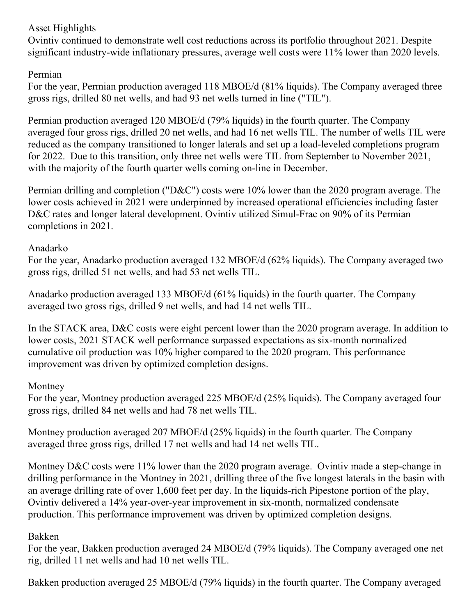## Asset Highlights

Ovintiv continued to demonstrate well cost reductions across its portfolio throughout 2021. Despite significant industry-wide inflationary pressures, average well costs were 11% lower than 2020 levels.

## Permian

For the year, Permian production averaged 118 MBOE/d (81% liquids). The Company averaged three gross rigs, drilled 80 net wells, and had 93 net wells turned in line ("TIL").

Permian production averaged 120 MBOE/d (79% liquids) in the fourth quarter. The Company averaged four gross rigs, drilled 20 net wells, and had 16 net wells TIL. The number of wells TIL were reduced as the company transitioned to longer laterals and set up a load-leveled completions program for 2022. Due to this transition, only three net wells were TIL from September to November 2021, with the majority of the fourth quarter wells coming on-line in December.

Permian drilling and completion ("D&C") costs were 10% lower than the 2020 program average. The lower costs achieved in 2021 were underpinned by increased operational efficiencies including faster D&C rates and longer lateral development. Ovintiv utilized Simul-Frac on 90% of its Permian completions in 2021.

### Anadarko

For the year, Anadarko production averaged 132 MBOE/d (62% liquids). The Company averaged two gross rigs, drilled 51 net wells, and had 53 net wells TIL.

Anadarko production averaged 133 MBOE/d (61% liquids) in the fourth quarter. The Company averaged two gross rigs, drilled 9 net wells, and had 14 net wells TIL.

In the STACK area, D&C costs were eight percent lower than the 2020 program average. In addition to lower costs, 2021 STACK well performance surpassed expectations as six-month normalized cumulative oil production was 10% higher compared to the 2020 program. This performance improvement was driven by optimized completion designs.

### Montney

For the year, Montney production averaged 225 MBOE/d (25% liquids). The Company averaged four gross rigs, drilled 84 net wells and had 78 net wells TIL.

Montney production averaged 207 MBOE/d (25% liquids) in the fourth quarter. The Company averaged three gross rigs, drilled 17 net wells and had 14 net wells TIL.

Montney D&C costs were 11% lower than the 2020 program average. Ovintiv made a step-change in drilling performance in the Montney in 2021, drilling three of the five longest laterals in the basin with an average drilling rate of over 1,600 feet per day. In the liquids-rich Pipestone portion of the play, Ovintiv delivered a 14% year-over-year improvement in six-month, normalized condensate production. This performance improvement was driven by optimized completion designs.

# Bakken

For the year, Bakken production averaged 24 MBOE/d (79% liquids). The Company averaged one net rig, drilled 11 net wells and had 10 net wells TIL.

Bakken production averaged 25 MBOE/d (79% liquids) in the fourth quarter. The Company averaged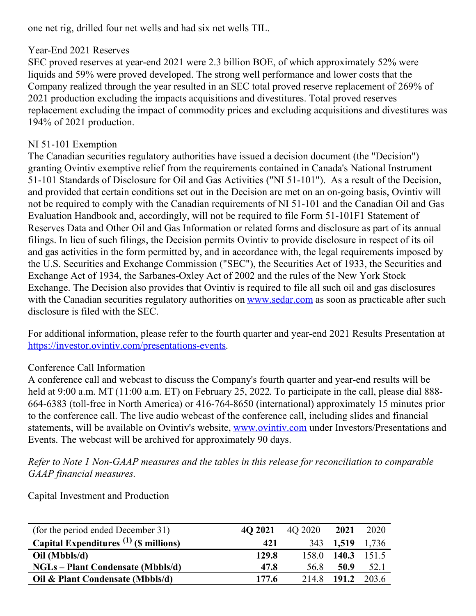one net rig, drilled four net wells and had six net wells TIL.

## Year-End 2021 Reserves

SEC proved reserves at year-end 2021 were 2.3 billion BOE, of which approximately 52% were liquids and 59% were proved developed. The strong well performance and lower costs that the Company realized through the year resulted in an SEC total proved reserve replacement of 269% of 2021 production excluding the impacts acquisitions and divestitures. Total proved reserves replacement excluding the impact of commodity prices and excluding acquisitions and divestitures was 194% of 2021 production.

## NI 51-101 Exemption

The Canadian securities regulatory authorities have issued a decision document (the "Decision") granting Ovintiv exemptive relief from the requirements contained in Canada's National Instrument 51-101 Standards of Disclosure for Oil and Gas Activities ("NI 51-101"). As a result of the Decision, and provided that certain conditions set out in the Decision are met on an on-going basis, Ovintiv will not be required to comply with the Canadian requirements of NI 51-101 and the Canadian Oil and Gas Evaluation Handbook and, accordingly, will not be required to file Form 51-101F1 Statement of Reserves Data and Other Oil and Gas Information or related forms and disclosure as part of its annual filings. In lieu of such filings, the Decision permits Ovintiv to provide disclosure in respect of its oil and gas activities in the form permitted by, and in accordance with, the legal requirements imposed by the U.S. Securities and Exchange Commission ("SEC"), the Securities Act of 1933, the Securities and Exchange Act of 1934, the Sarbanes-Oxley Act of 2002 and the rules of the New York Stock Exchange. The Decision also provides that Ovintiv is required to file all such oil and gas disclosures with the Canadian securities regulatory authorities on [www.sedar.com](http://www.sedar.com) as soon as practicable after such disclosure is filed with the SEC.

For additional information, please refer to the fourth quarter and year-end 2021 Results Presentation at [https://investor.ovintiv.com/presentations-events](https://c212.net/c/link/?t=0&l=en&o=3454585-1&h=3960423922&u=https%3A%2F%2Finvestor.ovintiv.com%2Fpresentations-events&a=https%3A%2F%2Finvestor.ovintiv.com%2Fpresentations-events).

# Conference Call Information

A conference call and webcast to discuss the Company's fourth quarter and year-end results will be held at 9:00 a.m. MT (11:00 a.m. ET) on February 25, 2022. To participate in the call, please dial 888-664-6383 (toll-free in North America) or 416-764-8650 (international) approximately 15 minutes prior to the conference call. The live audio webcast of the conference call, including slides and financial statements, will be available on Ovintiv's website, [www.ovintiv.com](http://www.ovintiv.com) under Investors/Presentations and Events. The webcast will be archived for approximately 90 days.

*Refer to Note 1 Non-GAAP measures and the tables in this release for reconciliation to comparable GAAP financial measures.*

Capital Investment and Production

| (for the period ended December 31)       | 4O 2021 | 40 2020 | 2021      | 2020  |
|------------------------------------------|---------|---------|-----------|-------|
| Capital Expenditures $(1)$ (\$ millions) | 421     |         | 343 1,519 | 1,736 |
| Oil (Mbbls/d)                            | 129.8   | 158.0   | 140.3     | 151.5 |
| <b>NGLs</b> – Plant Condensate (Mbbls/d) | 47.8    | 56.8    | 50.9      | 52.1  |
| Oil & Plant Condensate (Mbbls/d)         | 177.6   | 214.8   | 191.2     | 203.6 |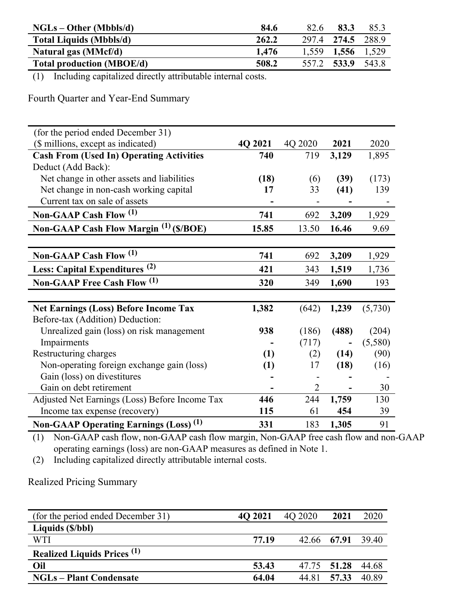| $NGLs - Other (Mbbls/d)$         | 84.6  | 82.6  | 83.3              | 85.3  |
|----------------------------------|-------|-------|-------------------|-------|
| <b>Total Liquids (Mbbls/d)</b>   | 262.2 |       | 297.4 274.5       | 288.9 |
| Natural gas (MMcf/d)             | 1.476 |       | 1,559 1,556 1,529 |       |
| <b>Total production (MBOE/d)</b> | 508.2 | 557.2 | 533.9             | 543.8 |

(1) Including capitalized directly attributable internal costs.

Fourth Quarter and Year-End Summary

| (for the period ended December 31)                |         |                |       |         |
|---------------------------------------------------|---------|----------------|-------|---------|
| (\$ millions, except as indicated)                | 4Q 2021 | 4Q 2020        | 2021  | 2020    |
| <b>Cash From (Used In) Operating Activities</b>   | 740     | 719            | 3,129 | 1,895   |
| Deduct (Add Back):                                |         |                |       |         |
| Net change in other assets and liabilities        | (18)    | (6)            | (39)  | (173)   |
| Net change in non-cash working capital            | 17      | 33             | (41)  | 139     |
| Current tax on sale of assets                     |         |                |       |         |
| Non-GAAP Cash Flow (1)                            | 741     | 692            | 3,209 | 1,929   |
| Non-GAAP Cash Flow Margin <sup>(1)</sup> (\$/BOE) | 15.85   | 13.50          | 16.46 | 9.69    |
|                                                   |         |                |       |         |
| Non-GAAP Cash Flow (1)                            | 741     | 692            | 3,209 | 1,929   |
| Less: Capital Expenditures <sup>(2)</sup>         | 421     | 343            | 1,519 | 1,736   |
| <b>Non-GAAP Free Cash Flow (1)</b>                | 320     | 349            | 1,690 | 193     |
|                                                   |         |                |       |         |
| <b>Net Earnings (Loss) Before Income Tax</b>      | 1,382   | (642)          | 1,239 | (5,730) |
| Before-tax (Addition) Deduction:                  |         |                |       |         |
| Unrealized gain (loss) on risk management         | 938     | (186)          | (488) | (204)   |
| Impairments                                       |         | (717)          |       | (5,580) |
| Restructuring charges                             | (1)     | (2)            | (14)  | (90)    |
| Non-operating foreign exchange gain (loss)        | (1)     | 17             | (18)  | (16)    |
| Gain (loss) on divestitures                       |         |                |       |         |
| Gain on debt retirement                           |         | $\overline{2}$ |       | 30      |
| Adjusted Net Earnings (Loss) Before Income Tax    | 446     | 244            | 1,759 | 130     |
| Income tax expense (recovery)                     | 115     | 61             | 454   | 39      |
| Non-GAAP Operating Earnings (Loss) <sup>(1)</sup> | 331     | 183            | 1,305 | 91      |

(1) Non-GAAP cash flow, non-GAAP cash flow margin, Non-GAAP free cash flow and non-GAAP operating earnings (loss) are non-GAAP measures as defined in Note 1.

(2) Including capitalized directly attributable internal costs.

Realized Pricing Summary

| (for the period ended December 31)            | 4O 2021 | 40 2020 | 2021              | 2020  |
|-----------------------------------------------|---------|---------|-------------------|-------|
| Liquids (\$/bbl)                              |         |         |                   |       |
| WTI                                           | 77.19   |         | 42.66 67.91 39.40 |       |
| <b>Realized Liquids Prices</b> <sup>(1)</sup> |         |         |                   |       |
| Oil                                           | 53.43   |         | 47.75 51.28       | 44.68 |
| <b>NGLs – Plant Condensate</b>                | 64.04   | 44.81   | 57.33             | 40.89 |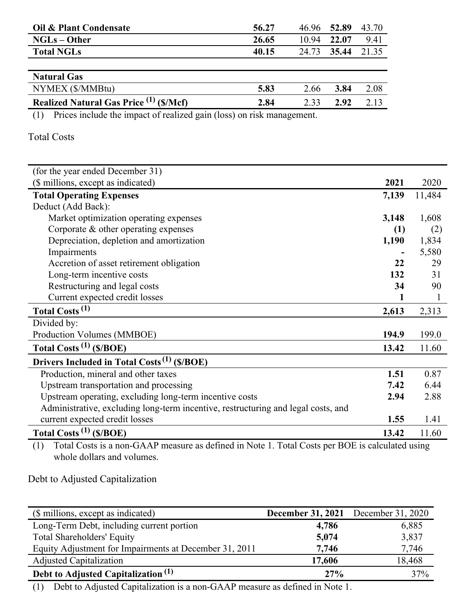| Oil & Plant Condensate                  | 56.27 | 46.96 52.89 |       | 43.70 |
|-----------------------------------------|-------|-------------|-------|-------|
| $NGLs - Other$                          | 26.65 | 10.94       | 22.07 | 9.41  |
| <b>Total NGLs</b>                       | 40.15 | 24.73       | 35.44 | 21.35 |
|                                         |       |             |       |       |
| <b>Natural Gas</b>                      |       |             |       |       |
| NYMEX (\$/MMBtu)                        | 5.83  | 2.66        | 3.84  | 2.08  |
| Realized Natural Gas Price (1) (\$/Mcf) | 2.84  | 2.33        | 2.92  | 2.13  |

(1) Prices include the impact of realized gain (loss) on risk management.

#### Total Costs

| (for the year ended December 31)                                                  |       |        |
|-----------------------------------------------------------------------------------|-------|--------|
| (\$ millions, except as indicated)                                                | 2021  | 2020   |
| <b>Total Operating Expenses</b>                                                   | 7,139 | 11,484 |
| Deduct (Add Back):                                                                |       |        |
| Market optimization operating expenses                                            | 3,148 | 1,608  |
| Corporate & other operating expenses                                              | (1)   | (2)    |
| Depreciation, depletion and amortization                                          | 1,190 | 1,834  |
| Impairments                                                                       |       | 5,580  |
| Accretion of asset retirement obligation                                          | 22    | 29     |
| Long-term incentive costs                                                         | 132   | 31     |
| Restructuring and legal costs                                                     | 34    | 90     |
| Current expected credit losses                                                    |       |        |
| Total Costs <sup>(1)</sup>                                                        | 2,613 | 2,313  |
| Divided by:                                                                       |       |        |
| Production Volumes (MMBOE)                                                        | 194.9 | 199.0  |
| Total Costs <sup>(1)</sup> (\$/BOE)                                               | 13.42 | 11.60  |
| Drivers Included in Total Costs <sup>(1)</sup> (\$/BOE)                           |       |        |
| Production, mineral and other taxes                                               | 1.51  | 0.87   |
| Upstream transportation and processing                                            | 7.42  | 6.44   |
| Upstream operating, excluding long-term incentive costs                           | 2.94  | 2.88   |
| Administrative, excluding long-term incentive, restructuring and legal costs, and |       |        |
| current expected credit losses                                                    | 1.55  | 1.41   |
| Total Costs $^{(1)}$ (\$/BOE)                                                     | 13.42 | 11.60  |

(1) Total Costs is a non-GAAP measure as defined in Note 1. Total Costs per BOE is calculated using whole dollars and volumes.

Debt to Adjusted Capitalization

| 4,786  | 6,885                                      |
|--------|--------------------------------------------|
| 5,074  | 3,837                                      |
| 7,746  | 7,746                                      |
| 17,606 | 18,468                                     |
| 27%    | 37%                                        |
|        | <b>December 31, 2021</b> December 31, 2020 |

(1) Debt to Adjusted Capitalization is a non-GAAP measure as defined in Note 1.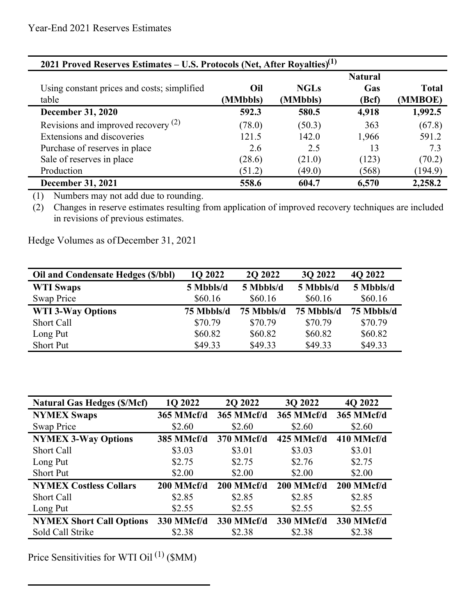| 2021 Proved Reserves Estimates – U.S. Protocols (Net, After Royalties) <sup>(1)</sup> |                 |                         |                                |                  |  |  |
|---------------------------------------------------------------------------------------|-----------------|-------------------------|--------------------------------|------------------|--|--|
| Using constant prices and costs; simplified<br>table                                  | Oil<br>(MMbbls) | <b>NGLs</b><br>(MMbbls) | <b>Natural</b><br>Gas<br>(Bcf) | Total<br>(MMBOE) |  |  |
| <b>December 31, 2020</b>                                                              | 592.3           | 580.5                   | 4,918                          | 1,992.5          |  |  |
| Revisions and improved recovery $(2)$                                                 | (78.0)          | (50.3)                  | 363                            | (67.8)           |  |  |
| Extensions and discoveries                                                            | 121.5           | 142.0                   | 1,966                          | 591.2            |  |  |
| Purchase of reserves in place                                                         | 2.6             | 2.5                     | 13                             | 7.3              |  |  |
| Sale of reserves in place                                                             | (28.6)          | (21.0)                  | (123)                          | (70.2)           |  |  |
| Production                                                                            | (51.2)          | (49.0)                  | (568)                          | (194.9)          |  |  |
| <b>December 31, 2021</b>                                                              | 558.6           | 604.7                   | 6,570                          | 2,258.2          |  |  |

(1) Numbers may not add due to rounding.

(2) Changes in reserve estimates resulting from application of improved recovery techniques are included in revisions of previous estimates.

Hedge Volumes as ofDecember 31, 2021

| Oil and Condensate Hedges (\$/bbl) | 1Q 2022    | 2Q 2022    | 3Q 2022    | 4Q 2022    |
|------------------------------------|------------|------------|------------|------------|
| <b>WTI Swaps</b>                   | 5 Mbbls/d  | 5 Mbbls/d  | 5 Mbbls/d  | 5 Mbbls/d  |
| Swap Price                         | \$60.16    | \$60.16    | \$60.16    | \$60.16    |
| <b>WTI 3-Way Options</b>           | 75 Mbbls/d | 75 Mbbls/d | 75 Mbbls/d | 75 Mbbls/d |
| Short Call                         | \$70.79    | \$70.79    | \$70.79    | \$70.79    |
| Long Put                           | \$60.82    | \$60.82    | \$60.82    | \$60.82    |
| <b>Short Put</b>                   | \$49.33    | \$49.33    | \$49.33    | \$49.33    |

| <b>Natural Gas Hedges (\$/Mcf)</b> | 1Q 2022    | 2Q 2022    | 3Q 2022    | 4Q 2022    |
|------------------------------------|------------|------------|------------|------------|
| <b>NYMEX Swaps</b>                 | 365 MMcf/d | 365 MMcf/d | 365 MMcf/d | 365 MMcf/d |
| Swap Price                         | \$2.60     | \$2.60     | \$2.60     | \$2.60     |
| <b>NYMEX 3-Way Options</b>         | 385 MMcf/d | 370 MMcf/d | 425 MMcf/d | 410 MMcf/d |
| Short Call                         | \$3.03     | \$3.01     | \$3.03     | \$3.01     |
| Long Put                           | \$2.75     | \$2.75     | \$2.76     | \$2.75     |
| <b>Short Put</b>                   | \$2.00     | \$2.00     | \$2.00     | \$2.00     |
| <b>NYMEX Costless Collars</b>      | 200 MMcf/d | 200 MMcf/d | 200 MMcf/d | 200 MMcf/d |
| <b>Short Call</b>                  | \$2.85     | \$2.85     | \$2.85     | \$2.85     |
| Long Put                           | \$2.55     | \$2.55     | \$2.55     | \$2.55     |
| <b>NYMEX Short Call Options</b>    | 330 MMcf/d | 330 MMcf/d | 330 MMcf/d | 330 MMcf/d |
| Sold Call Strike                   | \$2.38     | \$2.38     | \$2.38     | \$2.38     |

Price Sensitivities for WTI Oil $^{(1)}$  (\$MM)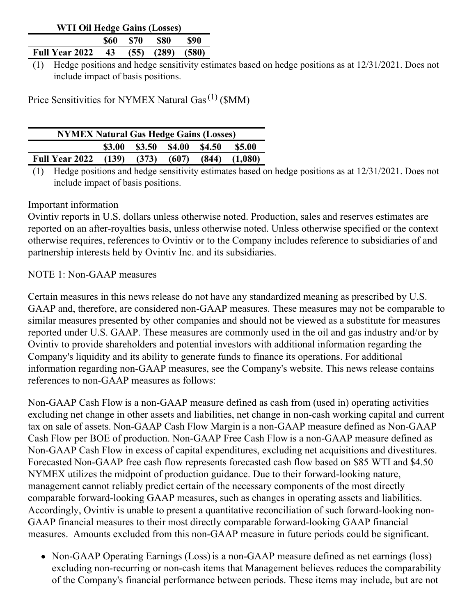| WTI Oil Hedge Gains (Losses) |  |         |                        |      |  |  |
|------------------------------|--|---------|------------------------|------|--|--|
|                              |  | S60 S70 | - 880                  | -890 |  |  |
| <b>Full Year 2022 43</b>     |  |         | $(55)$ $(289)$ $(580)$ |      |  |  |

(1) Hedge positions and hedge sensitivity estimates based on hedge positions as at 12/31/2021. Does not include impact of basis positions.

Price Sensitivities for NYMEX Natural Gas<sup>(1)</sup> (\$MM)

| <b>NYMEX Natural Gas Hedge Gains (Losses)</b> |               |                      |                 |  |                   |
|-----------------------------------------------|---------------|----------------------|-----------------|--|-------------------|
|                                               | <b>\$3.00</b> | \$3.50 \$4.00 \$4.50 |                 |  | <b>\$5.00</b>     |
| <b>Full Year 2022</b> (139)                   |               |                      | $(373)$ $(607)$ |  | $(844)$ $(1,080)$ |

(1) Hedge positions and hedge sensitivity estimates based on hedge positions as at 12/31/2021. Does not include impact of basis positions.

#### Important information

Ovintiv reports in U.S. dollars unless otherwise noted. Production, sales and reserves estimates are reported on an after-royalties basis, unless otherwise noted. Unless otherwise specified or the context otherwise requires, references to Ovintiv or to the Company includes reference to subsidiaries of and partnership interests held by Ovintiv Inc. and its subsidiaries.

### NOTE 1: Non-GAAP measures

Certain measures in this news release do not have any standardized meaning as prescribed by U.S. GAAP and, therefore, are considered non-GAAP measures. These measures may not be comparable to similar measures presented by other companies and should not be viewed as a substitute for measures reported under U.S. GAAP. These measures are commonly used in the oil and gas industry and/or by Ovintiv to provide shareholders and potential investors with additional information regarding the Company's liquidity and its ability to generate funds to finance its operations. For additional information regarding non-GAAP measures, see the Company's website. This news release contains references to non-GAAP measures as follows:

Non-GAAP Cash Flow is a non-GAAP measure defined as cash from (used in) operating activities excluding net change in other assets and liabilities, net change in non-cash working capital and current tax on sale of assets. Non-GAAP Cash Flow Margin is a non-GAAP measure defined as Non-GAAP Cash Flow per BOE of production. Non-GAAP Free Cash Flow is a non-GAAP measure defined as Non-GAAP Cash Flow in excess of capital expenditures, excluding net acquisitions and divestitures. Forecasted Non-GAAP free cash flow represents forecasted cash flow based on \$85 WTI and \$4.50 NYMEX utilizes the midpoint of production guidance. Due to their forward-looking nature, management cannot reliably predict certain of the necessary components of the most directly comparable forward-looking GAAP measures, such as changes in operating assets and liabilities. Accordingly, Ovintiv is unable to present a quantitative reconciliation of such forward-looking non-GAAP financial measures to their most directly comparable forward-looking GAAP financial measures. Amounts excluded from this non-GAAP measure in future periods could be significant.

• Non-GAAP Operating Earnings (Loss) is a non-GAAP measure defined as net earnings (loss) excluding non-recurring or non-cash items that Management believes reduces the comparability of the Company's financial performance between periods. These items may include, but are not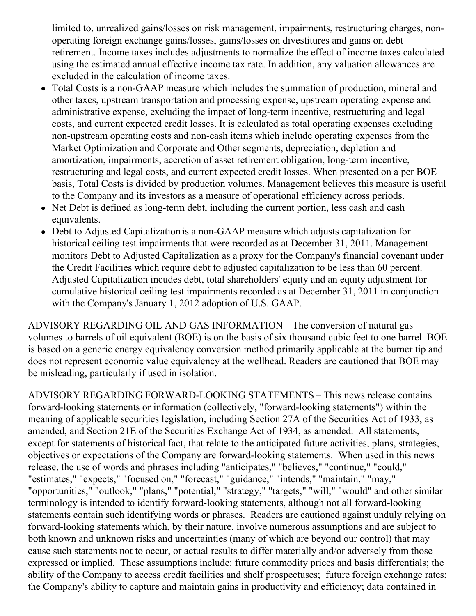limited to, unrealized gains/losses on risk management, impairments, restructuring charges, nonoperating foreign exchange gains/losses, gains/losses on divestitures and gains on debt retirement. Income taxes includes adjustments to normalize the effect of income taxes calculated using the estimated annual effective income tax rate. In addition, any valuation allowances are excluded in the calculation of income taxes.

- Total Costs is a non-GAAP measure which includes the summation of production, mineral and other taxes, upstream transportation and processing expense, upstream operating expense and administrative expense, excluding the impact of long-term incentive, restructuring and legal costs, and current expected credit losses. It is calculated as total operating expenses excluding non-upstream operating costs and non-cash items which include operating expenses from the Market Optimization and Corporate and Other segments, depreciation, depletion and amortization, impairments, accretion of asset retirement obligation, long-term incentive, restructuring and legal costs, and current expected credit losses. When presented on a per BOE basis, Total Costs is divided by production volumes. Management believes this measure is useful to the Company and its investors as a measure of operational efficiency across periods.
- Net Debt is defined as long-term debt, including the current portion, less cash and cash equivalents.
- Debt to Adjusted Capitalization is a non-GAAP measure which adjusts capitalization for historical ceiling test impairments that were recorded as at December 31, 2011. Management monitors Debt to Adjusted Capitalization as a proxy for the Company's financial covenant under the Credit Facilities which require debt to adjusted capitalization to be less than 60 percent. Adjusted Capitalization incudes debt, total shareholders' equity and an equity adjustment for cumulative historical ceiling test impairments recorded as at December 31, 2011 in conjunction with the Company's January 1, 2012 adoption of U.S. GAAP.

ADVISORY REGARDING OIL AND GAS INFORMATION – The conversion of natural gas volumes to barrels of oil equivalent (BOE) is on the basis of six thousand cubic feet to one barrel. BOE is based on a generic energy equivalency conversion method primarily applicable at the burner tip and does not represent economic value equivalency at the wellhead. Readers are cautioned that BOE may be misleading, particularly if used in isolation.

ADVISORY REGARDING FORWARD-LOOKING STATEMENTS – This news release contains forward-looking statements or information (collectively, "forward-looking statements") within the meaning of applicable securities legislation, including Section 27A of the Securities Act of 1933, as amended, and Section 21E of the Securities Exchange Act of 1934, as amended. All statements, except for statements of historical fact, that relate to the anticipated future activities, plans, strategies, objectives or expectations of the Company are forward-looking statements. When used in this news release, the use of words and phrases including "anticipates," "believes," "continue," "could," "estimates," "expects," "focused on," "forecast," "guidance," "intends," "maintain," "may," "opportunities," "outlook," "plans," "potential," "strategy," "targets," "will," "would" and other similar terminology is intended to identify forward-looking statements, although not all forward-looking statements contain such identifying words or phrases. Readers are cautioned against unduly relying on forward-looking statements which, by their nature, involve numerous assumptions and are subject to both known and unknown risks and uncertainties (many of which are beyond our control) that may cause such statements not to occur, or actual results to differ materially and/or adversely from those expressed or implied. These assumptions include: future commodity prices and basis differentials; the ability of the Company to access credit facilities and shelf prospectuses; future foreign exchange rates; the Company's ability to capture and maintain gains in productivity and efficiency; data contained in